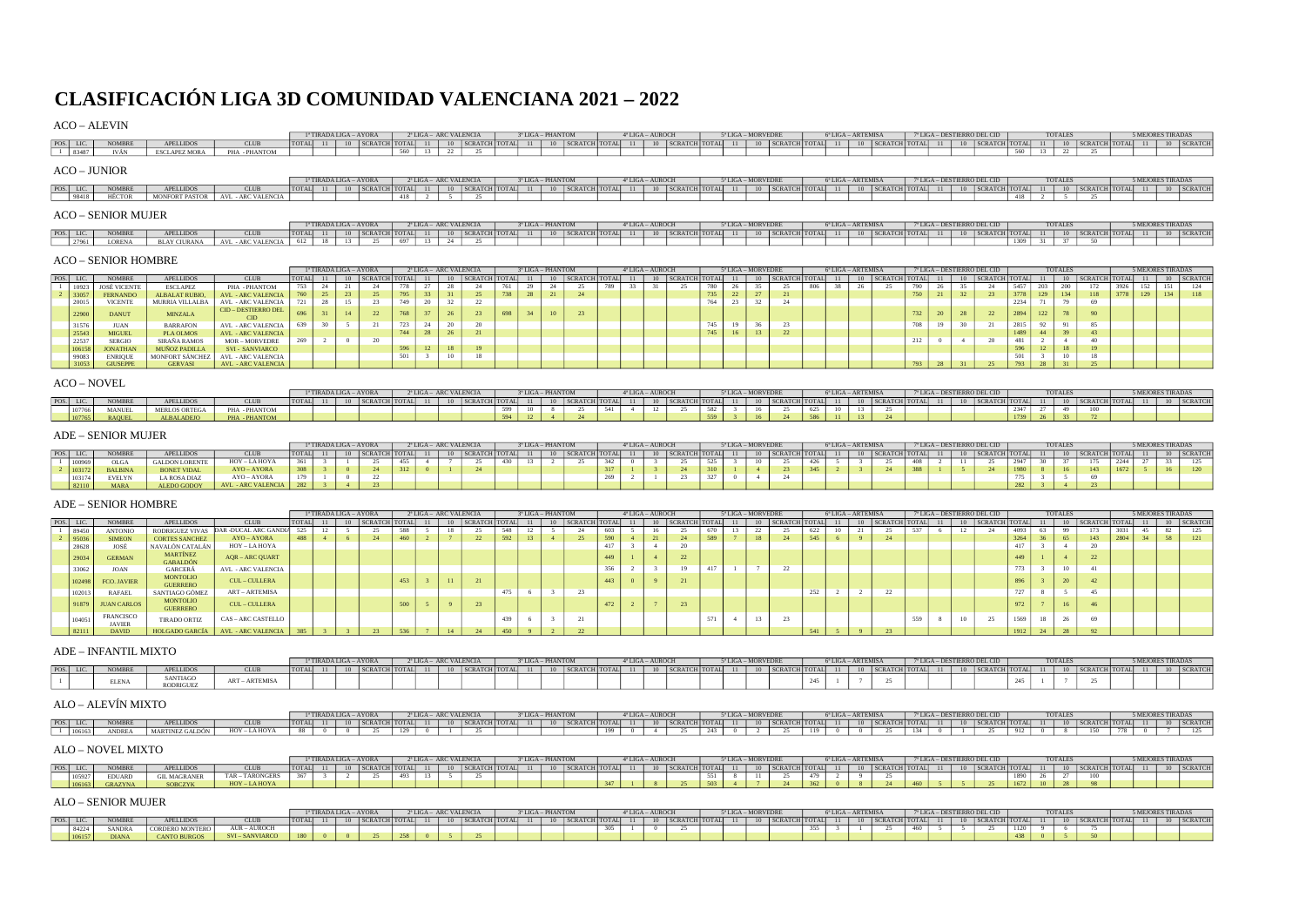# CLASIFICACIÓN LIGA 3D COMUNIDAD VALENCIANA 2021 – 2022

## ACO – ALEVIN

|           |       |                     |                       |                           |       | 1ª TIRADA LIGA – AYORA           |                      |  | 2ª LIGA - ARC VALENCIA |                 |  | 3ª LIGA - PHANTOM |                    | 4 <sup>*</sup> LIGA - AUROCH |                      | 5 <sup>*</sup> LIGA - MORVEDRE |                           |  | 6ª LIGA – ARTEMISA          |                      |    |    | 7ª LIGA – DESTIERRO DEL CID |            | <b>TOTALES</b> |                    | <b>5 MEJORES TIRADAS</b> |              |
|-----------|-------|---------------------|-----------------------|---------------------------|-------|----------------------------------|----------------------|--|------------------------|-----------------|--|-------------------|--------------------|------------------------------|----------------------|--------------------------------|---------------------------|--|-----------------------------|----------------------|----|----|-----------------------------|------------|----------------|--------------------|--------------------------|--------------|
| POS. LIC. |       | <b>NOMBRE</b>       | <b>APELLIDOS</b>      | <b>CLUB</b>               | TOTAL |                                  | 10   SCRATCH   TOTAL |  |                        | SCRATCH TOTAL   |  |                   | 10   SCRATCH TOTAL | 11                           | 10 SCRATCH TOTAL     |                                | 10   SCRATCH   TOTAL   11 |  |                             | 10   SCRATCH   TOTAL | 11 | 10 | SCRATCH TOTAL               |            |                | 10   SCRATCH TOTAL | 11                       | 10 SCRATCH   |
|           |       | <b>IVÁN</b>         | <b>ESCLAPEZ MORA</b>  | PHA-PHANTOM               |       |                                  |                      |  | $-22$                  | 25              |  |                   |                    |                              |                      |                                |                           |  |                             |                      |    |    |                             | <b>Fro</b> |                |                    |                          |              |
|           |       | <b>ACO - JUNIOR</b> |                       |                           |       |                                  |                      |  |                        |                 |  |                   |                    |                              |                      |                                |                           |  |                             |                      |    |    |                             |            |                |                    |                          |              |
|           |       |                     |                       |                           |       | <sup>1</sup> TIRADA LIGA - AYORA |                      |  | 2ª LIGA - ARC VALENCIA |                 |  | 3ª LIGA – PHANTOM |                    | 4 <sup>*</sup> LIGA - AUROCH |                      | 5ª LIGA - MORVEDRE             |                           |  | $6^{\circ}$ LIGA – ARTEMISA |                      |    |    | 7ª LIGA - DESTIERRO DEL CID |            | TOTALES        |                    | 5 MEJORES TIRADAS        |              |
| POS. LIC. |       | <b>NOMBRE</b>       | <b>APELLIDOS</b>      | <b>CLUB</b>               | TOTAL |                                  | SCRATCH TOTAL        |  |                        | SCRATCH   TOTAL |  |                   | 10   SCRATCH TOTAL | 11                           | 10   SCRATCH   TOTAL |                                | 10   SCRATCH   TOTAL   11 |  |                             | 10   SCRATCH   TOTAL | 11 |    | 10   SCRATCH   TOTAL        |            |                | 10   SCRATCH TOTAL | 11                       | 10   SCRATCH |
|           | 98418 | HÉCTOR              | <b>MONFORT PASTOR</b> | <b>AVL - ARC VALENCIA</b> |       |                                  |                      |  |                        | 25              |  |                   |                    |                              |                      |                                |                           |  |                             |                      |    |    |                             |            |                |                    |                          |              |
|           |       | $ACO$ CENIOD MUED   |                       |                           |       |                                  |                      |  |                        |                 |  |                   |                    |                              |                      |                                |                           |  |                             |                      |    |    |                             |            |                |                    |                          |              |

#### ACO – SENIOR MUJER

|           |        |           |                                                                        | <sup>a</sup> TIRADA LIGA – AYORA |  |  | 2ª LIGA – ARC VALENCIA | 3ª LIGA – PHANTOM |  |  | $4^*$ LIGA – AUROCH | $5^{\circ}$ LIGA - MORVEDRE |                                                                                                                                                                                                         |  | $6^{\circ}$ LIGA – ARTEMISA |  | 7 <sup>*</sup> LIGA - DESTIERRO DEL CID |      | TOTALES |  | <b>5 MEJORES TIRADAS</b> |  |
|-----------|--------|-----------|------------------------------------------------------------------------|----------------------------------|--|--|------------------------|-------------------|--|--|---------------------|-----------------------------|---------------------------------------------------------------------------------------------------------------------------------------------------------------------------------------------------------|--|-----------------------------|--|-----------------------------------------|------|---------|--|--------------------------|--|
| POS. LIC. | NOMBRE | APELLIDOS | <b>CLUB</b>                                                            |                                  |  |  |                        |                   |  |  |                     |                             | TOTAL 11 10 SCRATCH TOTAL 11 10 SCRATCH TOTAL 11 10 SCRATCH TOTAL 11 10 SCRATCH TOTAL 11 10 SCRATCH TOTAL 11 10 SCRATCH TOTAL 11 10 SCRATCH TOTAL 11 10 SCRATCH TOTAL 11 10 SCRATCH TOTAL 11 10 SCRATCH |  |                             |  |                                         |      |         |  |                          |  |
|           |        |           | 27961 LORENA BLAY CIURANA AVL - ARC VALENCIA 612 18 13 25 697 13 24 25 |                                  |  |  |                        |                   |  |  |                     |                             |                                                                                                                                                                                                         |  |                             |  |                                         | 1309 |         |  |                          |  |

#### ACO – SENIOR HOMBRE

|           |                     |                  |                             |          | <sup>1ª</sup> TIRADA LIGA – AYORA |                                                                                   |            |                 | 2ª LIGA - ARC VALENCIA |       | 3ª LIGA – PHANTOM |    |     | 4ª LIGA – AUROCH |    |                                                       |            | 5ª LIGA – MORVEDRE |                |    |     | 6ª LIGA – ARTEMISA |  |     |  | 7ª LIGA – DESTIERRO DEL CID |              | <b>TOTALES</b> |                                                                                 |     | 5 MEJORES TIRADAS |            |
|-----------|---------------------|------------------|-----------------------------|----------|-----------------------------------|-----------------------------------------------------------------------------------|------------|-----------------|------------------------|-------|-------------------|----|-----|------------------|----|-------------------------------------------------------|------------|--------------------|----------------|----|-----|--------------------|--|-----|--|-----------------------------|--------------|----------------|---------------------------------------------------------------------------------|-----|-------------------|------------|
| POS. LIC. | NOMBRE.             | <b>APELLIDOS</b> | <b>CLUB</b>                 | TOTAL 11 |                                   | 10   SCRATCH   TOTAL   11   10   SCRATCH   TOTAL   11   10   SCRATCH   TOTAL   11 |            |                 |                        |       |                   |    |     |                  |    | 10   SCRATCH   TOTAL   11   10   SCRATCH   TOTAL   11 |            |                    |                |    |     |                    |  |     |  |                             |              |                | 10   SCRATCH TOTAL   11   10   SCRATCH   TOTAL   11   10   SCRATCH   TOTAL   11 |     |                   | 10 SCRATCH |
|           | <b>JOSÉ VICENTE</b> | <b>ESCLAPEZ</b>  | PHA-PHANTOM                 | 753      |                                   |                                                                                   | CONTINUES. | <b>Service</b>  |                        | 761   |                   | 25 | 700 | 22               | 31 | 25                                                    | <b>BOO</b> | $\sim$             | <b>Service</b> | 25 | 806 | n <sub>n</sub>     |  |     |  |                             |              | 200            | 172                                                                             | 152 |                   |            |
|           | FERNANDO            | ALBALAT RUBIO.   | <b>AVL - ARC VALENCIA</b>   |          |                                   |                                                                                   |            |                 |                        |       |                   |    |     |                  |    |                                                       |            |                    |                |    |     |                    |  |     |  |                             | 3778 129 134 |                | $118$ 3778                                                                      | 129 |                   |            |
| 20015     | <b>VICENTE</b>      | MURRIA VILLALBA  | <b>AVL - ARC VALENCIA</b>   |          |                                   |                                                                                   |            |                 |                        |       |                   |    |     |                  |    |                                                       |            |                    |                |    |     |                    |  |     |  |                             |              |                |                                                                                 |     |                   |            |
| 22900     | <b>DANUT</b>        | MINZALA          | CID - DESTIERRO DEL<br>CID. |          |                                   |                                                                                   |            |                 |                        | 698 l |                   |    |     |                  |    |                                                       |            |                    |                |    |     |                    |  |     |  |                             | 2894 122 78  |                |                                                                                 |     |                   |            |
| 31576     | <b>JUAN</b>         | <b>BARRAFON</b>  | <b>AVL - ARC VALENCIA</b>   |          |                                   |                                                                                   |            |                 |                        |       |                   |    |     |                  |    |                                                       | 7.47       |                    |                |    |     |                    |  | 700 |  |                             | 2815         |                |                                                                                 |     |                   |            |
|           | <b>MIGUEL</b>       | <b>PLA OLMOS</b> | AVL - ARC VALENCIA          |          |                                   |                                                                                   |            | 20 <sup>o</sup> |                        |       |                   |    |     |                  |    |                                                       |            |                    |                |    |     |                    |  |     |  |                             |              |                |                                                                                 |     |                   |            |
| 22537     | <b>SERGIO</b>       | SIRAÑA RAMOS     | MOR - MORVEDRE              |          |                                   |                                                                                   |            |                 |                        |       |                   |    |     |                  |    |                                                       |            |                    |                |    |     |                    |  |     |  |                             |              |                |                                                                                 |     |                   |            |
|           | <b>JONATHAN</b>     | MUÑOZ PADILLA    | SVI - SANVIARCO             |          |                                   |                                                                                   |            |                 |                        |       |                   |    |     |                  |    |                                                       |            |                    |                |    |     |                    |  |     |  |                             |              |                |                                                                                 |     |                   |            |
|           | <b>ENRIQUE</b>      | MONFORT SÁNCHEZ  | AVL - ARC VALENCIA          |          |                                   |                                                                                   |            |                 |                        |       |                   |    |     |                  |    |                                                       |            |                    |                |    |     |                    |  |     |  |                             |              |                |                                                                                 |     |                   |            |
|           | <b>GIUSEPPE</b>     | GERVASI          | AVL - ARC VALENCIA          |          |                                   |                                                                                   |            |                 |                        |       |                   |    |     |                  |    |                                                       |            |                    |                |    |     |                    |  |     |  |                             |              |                |                                                                                 |     |                   |            |

#### ACO – NOVEL

|           |              |                   |             |              |     | <sup>a</sup> TIRADA LIGA – AYORA |  |  | $2^a$ LIGA $-$ ARC VALENCIA | $3^a$ LIGA | - PHANTOM |                    |  | $4^{\circ}$ LIGA - AUROCH |                     |     | 5ª LIGA - MORVEDRE |                  | $6^{\circ}$ LIGA - | <b>ARTEMISA</b> |                 | $7^{\circ}$ LIGA - DESTIERRO DEL CID <sup><math>\cdot</math></sup> |  |                        | <b>TOTALES</b> |                  | <b>5 MEJORES TIRADA</b> |            |
|-----------|--------------|-------------------|-------------|--------------|-----|----------------------------------|--|--|-----------------------------|------------|-----------|--------------------|--|---------------------------|---------------------|-----|--------------------|------------------|--------------------|-----------------|-----------------|--------------------------------------------------------------------|--|------------------------|----------------|------------------|-------------------------|------------|
| POS. LIC. |              | <b>APELLIDOS</b>  | <b>CLUB</b> | <b>TOTAL</b> | -11 |                                  |  |  | $SCPATTCH$ $TOTAI$ 11       |            |           | $10$ SCRATCH TOTAL |  |                           | 10 SCRATCH TOTAL 11 |     |                    | 10 SCRATCH TOTAL | 11                 |                 | J SCRATCH TOTAL |                                                                    |  | $SCRATCH$   TOTAL   11 |                | 10 SCRATCH TOTAL |                         | 10 SCRATCH |
|           | MANUEL       | MERLOS ORTEGA     | PHA-PHANTOM |              |     |                                  |  |  |                             |            |           |                    |  | $\sim$                    |                     | 582 |                    |                  |                    |                 |                 |                                                                    |  |                        |                |                  |                         |            |
|           | <b>AOUEI</b> | <b>ALBALADEIO</b> | PHA-PHANTOM |              |     |                                  |  |  |                             |            |           |                    |  |                           |                     |     |                    |                  |                    |                 |                 |                                                                    |  |                        |                |                  |                         |            |

#### ADE – SENIOR MUJER

|      |        |                  |                       |                           |       | <sup>a</sup> TIRADA LIGA - AYORA |  |  | 2ª LIGA - ARC VALENCIA                    |  | 3ª LIGA - PHANTOM |                     |                | $4^{\circ}$ LIGA - AUROCH |                  |      | 5 <sup>*</sup> LIGA - MORVEDRE |                |              | $6^{\circ}$ LIGA - ARTEMISA |               |       |  | 7ª LIGA - DESTIERRO DEL CID |       | <b>TOTALES</b> |                      |  | <b>5 MEJORES TIRADAS</b> |            |
|------|--------|------------------|-----------------------|---------------------------|-------|----------------------------------|--|--|-------------------------------------------|--|-------------------|---------------------|----------------|---------------------------|------------------|------|--------------------------------|----------------|--------------|-----------------------------|---------------|-------|--|-----------------------------|-------|----------------|----------------------|--|--------------------------|------------|
| POS. |        |                  | PELLIDOS              | <b>CLUB</b>               | TOTAI |                                  |  |  | $S$ <sub>CRATCH</sub> $T$ <sub>CTAL</sub> |  |                   | <b>CRATCH TOTAL</b> |                |                           | 10 SCRATCH TOTAL |      |                                | <b>SCRATCH</b> | <b>TOTAL</b> |                             | <b>SCRATO</b> | TOTAI |  | SCRATCH                     | TOTAL |                | 10   SCRATCH   TOTAL |  |                          | 10 SCRATCH |
|      | 100969 | OLG <sub>b</sub> | <b>GALDON LORENTE</b> | HOY – LA HOYA             |       |                                  |  |  |                                           |  |                   |                     | 242            |                           |                  | car- |                                |                |              |                             |               |       |  |                             |       |                | 1.77                 |  |                          |            |
|      |        | <b>BALBINA</b>   | <b>BONET VIDAL</b>    | $AYO = AYORA$             |       |                                  |  |  |                                           |  |                   |                     |                |                           |                  |      |                                |                |              |                             |               |       |  |                             |       |                | 143                  |  | 16                       |            |
|      | 103174 | <b>EVELYN</b>    | LA ROSA DIAZ          | $AYO = AYORA$             |       |                                  |  |  |                                           |  |                   |                     | $\overline{a}$ |                           |                  |      |                                |                |              |                             |               |       |  |                             |       |                |                      |  |                          |            |
|      |        | <b>MARA</b>      | ALEDO GODOY           | <b>AVL - ARC VALENCIA</b> |       |                                  |  |  |                                           |  |                   |                     |                |                           |                  |      |                                |                |              |                             |               |       |  |                             |       |                |                      |  |                          |            |

## ADE – SENIOR HOMBRE

|           |        |                            |                             |                                     |          | <sup>1ª</sup> TIRADA LIGA – AYORA |                      |     | 2ª LIGA - ARC VALENCIA |                           |      | 3ª LIGA - PHANTOM |                    |     | 4 <sup>*</sup> LIGA - AUROCH |                     |     | 5° LIGA - MORVEDRE |     |                           |                | 6ª LIGA – ARTEMISA |                       |     |  | 7ª LIGA – DESTIERRO DEL CID |        | <b>TOTALES</b> |                                                       |      | <b>5 MEJORES TIRADAS</b> |            |
|-----------|--------|----------------------------|-----------------------------|-------------------------------------|----------|-----------------------------------|----------------------|-----|------------------------|---------------------------|------|-------------------|--------------------|-----|------------------------------|---------------------|-----|--------------------|-----|---------------------------|----------------|--------------------|-----------------------|-----|--|-----------------------------|--------|----------------|-------------------------------------------------------|------|--------------------------|------------|
| POS. LIC. |        | <b>NOMBRE</b>              | <b>APELLIDOS</b>            | <b>CLUB</b>                         | TOTAL 11 |                                   | 10   SCRATCH   TOTAL |     |                        | 10   SCRATCH   TOTAL   11 |      |                   | 10   SCRATCH TOTAL |     | 11                           | 10 SCRATCH TOTAL 11 |     |                    |     | 10   SCRATCH   TOTAL   11 |                |                    | 10   SCRATCH TOTAL 11 |     |  |                             |        |                | 10   SCRATCH   TOTAL   11   10   SCRATCH   TOTAL   11 |      |                          | 10 SCRATCH |
|           | 89450  | ANTONIO                    | <b>RODRIGUEZ VIVAS</b>      | DAR -DUCAL ARC GANDIA               |          |                                   |                      | 588 | 18                     |                           |      |                   |                    | 603 |                              | 25                  | 670 |                    | -44 |                           | 622            |                    |                       |     |  | 24                          | 4093   |                |                                                       |      |                          |            |
|           |        | <b>SIMEON</b>              | <b>CORTES SANCHEZ</b>       | $AYO - AYORA$                       | 488      |                                   | 24                   | 460 |                        | 22                        | 592  | 13                |                    | 590 |                              | -24                 | 589 |                    | 18  | 24                        | 545            |                    |                       |     |  |                             | 3264   | 65             | 143                                                   | 2804 |                          | 121        |
|           |        | JOSÉ                       | NAVALÓN CATALÁN             | HOY – LA HOYA                       |          |                                   |                      |     |                        |                           |      |                   |                    | 417 |                              | 20                  |     |                    |     |                           |                |                    |                       |     |  |                             | 417    |                |                                                       |      |                          |            |
|           |        | <b>GERMAN</b>              | MARTÍNEZ<br>GABALDÓN        | <b>AQR - ARC QUART</b>              |          |                                   |                      |     |                        |                           |      |                   |                    | 449 |                              |                     |     |                    |     |                           |                |                    |                       |     |  |                             | 449    |                |                                                       |      |                          |            |
|           | 33062  | <b>JOAN</b>                | GARCERÁ                     | <b>AVL - ARC VALENCIA</b>           |          |                                   |                      |     |                        |                           |      |                   |                    | 356 |                              | 19                  | 417 |                    |     | 22                        |                |                    |                       |     |  |                             | 773    |                |                                                       |      |                          |            |
|           | 102498 | FCO. JAVIER                | MONTOLIO<br><b>GUERRERO</b> | CUL - CULLERA                       |          |                                   |                      | 453 |                        |                           |      |                   |                    | 443 |                              |                     |     |                    |     |                           |                |                    |                       |     |  |                             | 896    | 20             |                                                       |      |                          |            |
|           | 102013 | RAFAEL                     | SANTIAGO GÓMEZ              | <b>ART - ARTEMISA</b>               |          |                                   |                      |     |                        |                           | $-1$ |                   |                    |     |                              |                     |     |                    |     |                           | $n = n$<br>232 |                    | 22                    |     |  |                             | $\sim$ |                | 45                                                    |      |                          |            |
|           | 91879  | <b>JUAN CARLOS</b>         | MONTOLIO<br><b>GUERRERO</b> | CUL - CULLERA                       |          |                                   |                      | 500 |                        |                           |      |                   |                    | 472 |                              |                     |     |                    |     |                           |                |                    |                       |     |  |                             | 972    |                |                                                       |      |                          |            |
|           | 104051 | FRANCISCO<br><b>JAVIER</b> | TIRADO ORTIZ                | CAS – ARC CASTELLO                  |          |                                   |                      |     |                        |                           |      |                   |                    |     |                              |                     | 571 |                    |     | 23                        |                |                    |                       | 559 |  | 25                          | 1569   | $\mathcal{L}$  |                                                       |      |                          |            |
|           |        | <b>DAVID</b>               |                             | HOLGADO GARCÍA   AVL - ARC VALENCIA |          |                                   |                      |     |                        |                           |      |                   |                    |     |                              |                     |     |                    |     |                           |                |                    |                       |     |  |                             | 1912   |                |                                                       |      |                          |            |

#### ADE – INFANTIL MIXTO

|           |              |                       |            |              |     | ' TIRADA LIGA – AYORA | 2ª LIGA - ARC VALENCIA |              |              | 3" LIGA | $-$ PHANTOM |                 | $4^{\circ}$ LIGA - AUROCH |    |  | 5 <sup>*</sup> LIGA - MORVEDRE |              |              | $S^*$ LIGA - | - ARTEMISA |                | $H = I \cdot \overline{G}$ |  | - DESTIERRO DEL CID |      | <b>TOTALES</b> |  | <b>5 MEJORES TIRADAS</b> |        |
|-----------|--------------|-----------------------|------------|--------------|-----|-----------------------|------------------------|--------------|--------------|---------|-------------|-----------------|---------------------------|----|--|--------------------------------|--------------|--------------|--------------|------------|----------------|----------------------------|--|---------------------|------|----------------|--|--------------------------|--------|
| POS. LIC. |              | PELLIDOS              | CLUB       | <b>TOTAL</b> | -11 |                       | CTAI                   | $ $ s $\cap$ | <b>TOTAL</b> |         | $10$ SCF    | <b>CH TOTAL</b> |                           | 10 |  | 11                             | SCRATCT<br>. | <b>TOTAL</b> |              |            | <b>SCRATCH</b> | <b>TYPAL</b>               |  |                     |      | 10             |  | 11                       | CRATCH |
|           | <b>ELENA</b> | SANTIAGO<br>RODRIGUEZ | – ARTEMISA |              |     |                       |                        |              |              |         |             |                 |                           |    |  |                                |              | 243          |              |            |                |                            |  |                     | 243. |                |  |                          |        |

## ALO – ALEVÍN MIXTO

|  |                                                                                                                                                                                                                         |  |  |  |  |  |  | 4 <sup>*</sup> LIGA – AUROCH 5 <sup>*</sup> LIGA – MORVEDRE |  |  |  |  |  | 6 <sup>*</sup> LIGA - ARTEMISA 7 <sup>*</sup> LIGA - DESTIERRO DEL CID |  |  |  | <b>TOTALES</b> |  |  | 5 MEJORES TIRADAS |
|--|-------------------------------------------------------------------------------------------------------------------------------------------------------------------------------------------------------------------------|--|--|--|--|--|--|-------------------------------------------------------------|--|--|--|--|--|------------------------------------------------------------------------|--|--|--|----------------|--|--|-------------------|
|  |                                                                                                                                                                                                                         |  |  |  |  |  |  |                                                             |  |  |  |  |  |                                                                        |  |  |  |                |  |  |                   |
|  | POS. LIC. NOMBRE APELLIDOS CLUB TOTAL 11 10 SCRATCH TOTAL 11 10 SCRATCH TOTAL 11 10 SCRATCH TOTAL 11 10 SCRATCH TOTAL 11 10 SCRATCH 10 SCRATCH 10 10 199 14 25 243 0 2 25 119 0 0 25 134 0 1 25 912 0 8 150 778 0 7 125 |  |  |  |  |  |  |                                                             |  |  |  |  |  |                                                                        |  |  |  |                |  |  |                   |
|  |                                                                                                                                                                                                                         |  |  |  |  |  |  |                                                             |  |  |  |  |  |                                                                        |  |  |  |                |  |  |                   |

## ALO – NOVEL MIXTO

|           |                  |                  |                 |  | $1^{\circ}$ TIRADA LIGA - AYORA |     |  | 2ª LIGA - ARC VALENCIA |  | $3" LIGA - PHANTOM$ |                                                                                                                                                                                                                                | $4^{\circ}$ LIGA - AUROCH |  | $5^{\circ}$ LIGA - MORVEDRE                                                          |                                        |  | $6^{\circ}$ LIGA – ARTEMISA |  |  | 7 <sup>*</sup> LIGA - DESTIERRO DEL CID |  | <b>TOTALES</b> |  | <b>5 MEJORES TIRADAS</b> |              |
|-----------|------------------|------------------|-----------------|--|---------------------------------|-----|--|------------------------|--|---------------------|--------------------------------------------------------------------------------------------------------------------------------------------------------------------------------------------------------------------------------|---------------------------|--|--------------------------------------------------------------------------------------|----------------------------------------|--|-----------------------------|--|--|-----------------------------------------|--|----------------|--|--------------------------|--------------|
| POS. LIC. |                  | <b>APELLIDOS</b> | <b>CLUB</b>     |  |                                 |     |  |                        |  |                     | TOTAL 11   10  SCRATCH TOTAL 11   10  SCRATCH TOTAL 11   10   SCRATCH TOTAL 11   10   SCRATCH TOTAL 11   10   SCRATCH TOTAL 11   10   SCRATCH TOTAL 11   10   SCRATCH TOTAL 11   10   SCRATCH TOTAL 11   10   SCRATCH TOTAL 11 |                           |  |                                                                                      |                                        |  |                             |  |  |                                         |  |                |  |                          | 10   SCRATCH |
| 105927    | EDUARD           | GIL MAGRANER     | TAR – TARONGERS |  |                                 | 493 |  |                        |  |                     | $\frac{1}{247}$                                                                                                                                                                                                                |                           |  | $\begin{array}{ c c c c c c } \hline 551 & 8 & 11 \\ \hline 503 & 4 & 7 \end{array}$ | 25 479 2 9 25<br>24 362 0 8 24 460 5 5 |  |                             |  |  | 25 1672 10 28 98                        |  |                |  |                          |              |
|           | $106163$ GRAZYNA | <b>SOBCZYK</b>   | HOY-LAHOYA      |  |                                 |     |  |                        |  |                     |                                                                                                                                                                                                                                |                           |  |                                                                                      |                                        |  |                             |  |  |                                         |  |                |  |                          |              |
|           |                  |                  |                 |  |                                 |     |  |                        |  |                     |                                                                                                                                                                                                                                |                           |  |                                                                                      |                                        |  |                             |  |  |                                         |  |                |  |                          |              |

#### ALO – SENIOR MUJER

|           |              |                        |                        |        | 1ª TIRADA LIGA – AYORA |                      |  | 2ª LIGA - ARC VALENCIA | $3^{\circ}$ LIGA - PHANTOM |                    | $4^{\circ}$ LIGA - AUROCH |                  | 5 <sup>°</sup> LIGA - MORVEDRE |                      | 6ª LIGA – ARTEMISA |                           |     |  | 7 <sup>*</sup> LIGA – DESTIERRO DEL CID |  | <b>TOTALE</b> |                     |  | 5 MEJORES TIRADAS |            |
|-----------|--------------|------------------------|------------------------|--------|------------------------|----------------------|--|------------------------|----------------------------|--------------------|---------------------------|------------------|--------------------------------|----------------------|--------------------|---------------------------|-----|--|-----------------------------------------|--|---------------|---------------------|--|-------------------|------------|
| POS. LIC. |              | <b>APELLIDOS</b>       | <b>CLUB</b>            | TOTAL: |                        | 10   SCRATCH   TOTAL |  | LSCRATCH TOTALL        |                            | 10   SCRATCH TOTAL |                           | 10 SCRATCH TOTAL | 11                             | 10   SCRATCH   TOTAL | $-11$              | 10   SCRATCH   TOTAL   11 |     |  | 10   SCRATCH   TOTAL                    |  |               | 10 SCRATCH TOTAL 11 |  |                   | 10 SCRATCH |
| 84224     | <b>SANDR</b> | <b>CORDERO MONTERU</b> | $A IIR = A IIROCH$     |        |                        |                      |  |                        |                            |                    |                           |                  |                                |                      |                    |                           | 460 |  |                                         |  |               |                     |  |                   |            |
|           | <b>DIANA</b> | <b>CANTO BURGOS</b>    | <b>SVI - SANVIARCO</b> |        |                        |                      |  |                        |                            |                    |                           |                  |                                |                      |                    |                           |     |  |                                         |  |               |                     |  |                   |            |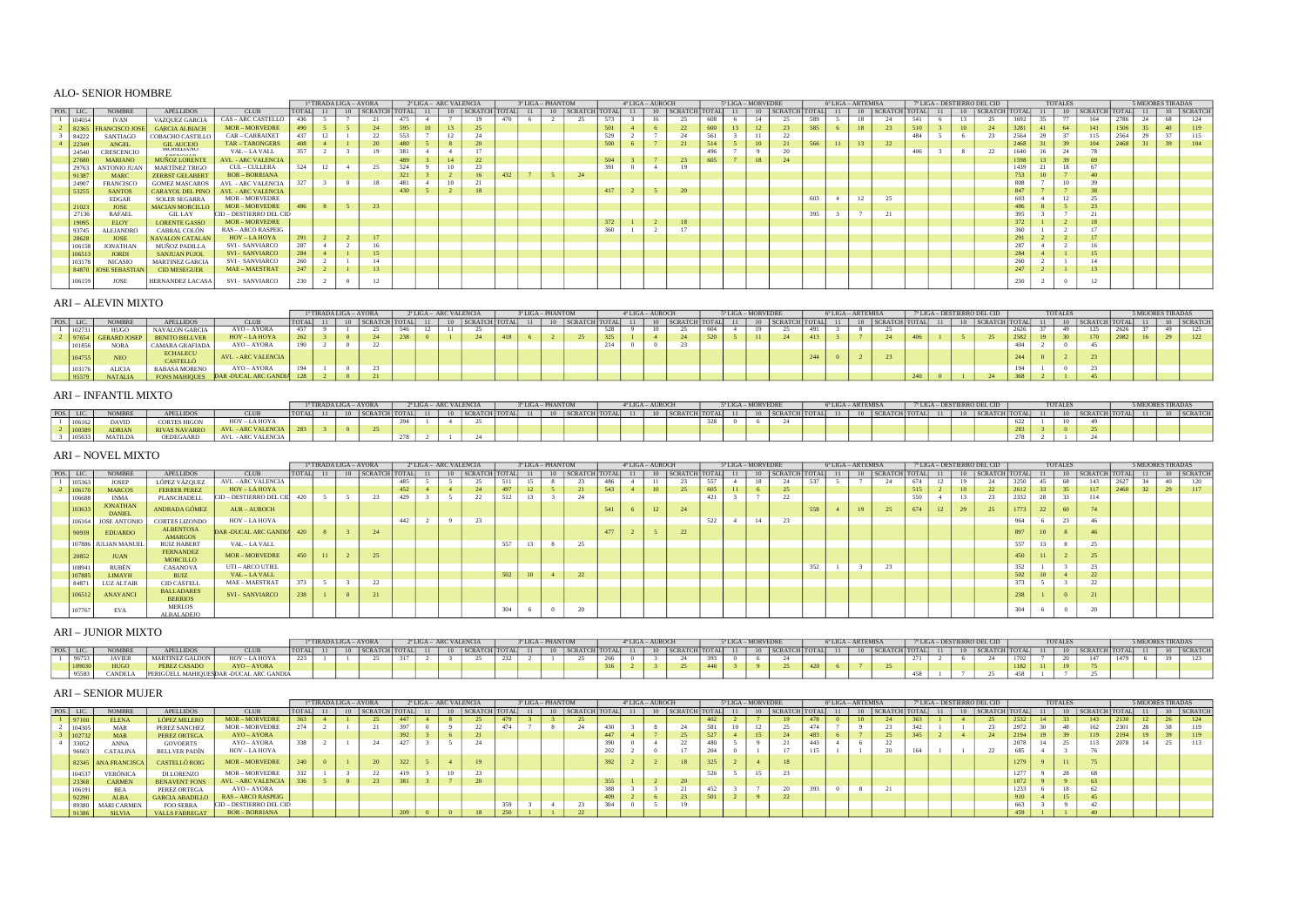# ALO- SENIOR HOMBRE

|           |        |                      |                          |                           |              |  | 1ª TIRADA LIGA – AYORA                   |     |  | 2ª LIGA – ARC VALENCIA |     | 3ª LIGA – PHANTOM |                                    |     | 4ª LIGA – AUROCH |                        |     | 5 <sup>*</sup> LIGA - MORVEDRE |                          |     | 6ª LIGA – ARTEMISA |    |                           |     |  | 7ª LIGA - DESTIERRO DEL CID |      | TOTALES |     |                           |       | <b>5 MEJORES TIRADAS</b> |            |
|-----------|--------|----------------------|--------------------------|---------------------------|--------------|--|------------------------------------------|-----|--|------------------------|-----|-------------------|------------------------------------|-----|------------------|------------------------|-----|--------------------------------|--------------------------|-----|--------------------|----|---------------------------|-----|--|-----------------------------|------|---------|-----|---------------------------|-------|--------------------------|------------|
| POS. LIC. |        | <b>NOMBRE</b>        | APELLIDOS                | <b>CLUB</b>               | <b>TOTAL</b> |  | 10   SCRATCH   TOTAL   11   10   SCRATCH |     |  |                        |     |                   | TOTAL  11   10   SCRATCH TOTAL  11 |     |                  | 10 SCRATCH TOTAL 11 10 |     |                                | $ $ SCRATCH $ $ TOTAL 11 |     |                    |    | 10   SCRATCH   TOTAL   11 |     |  | 10   SCRATCH                |      |         |     | 11   10   SCRATCH   TOTAL | $-11$ |                          | 10 SCRATCH |
|           | 104054 | <b>IVAN</b>          | VAZQUEZ GARCIA           | <b>CAS - ARC CASTELLO</b> | 436          |  | 21                                       | 475 |  |                        | 470 |                   | 25                                 | 573 | 16               | 25                     | 608 |                                | 25                       | 589 |                    | 18 |                           | 541 |  | 25                          | 3692 |         | 164 | 2786                      |       |                          |            |
|           |        | ANCISCO JOS          | <b>GARCIA ALBIACH</b>    | <b>MOR-MORVEDRE</b>       | 490          |  |                                          |     |  |                        |     |                   |                                    | 501 |                  |                        |     |                                | 23                       | 585 |                    |    |                           |     |  |                             |      |         |     |                           |       |                          |            |
|           | 84222  | SANTIAGO             | COBACHO CASTILLO         | CAR-CARRAIXET             | 437          |  |                                          |     |  |                        |     |                   |                                    | 529 |                  |                        |     |                                |                          |     |                    |    |                           |     |  |                             |      |         | 115 | 2564                      |       |                          |            |
|           | 22349  | ANGEL                | <b>GIL AUCEJO</b>        | TAR - TARONGERS           | 408          |  |                                          |     |  |                        |     |                   |                                    | 500 |                  |                        |     |                                | 21                       | 566 |                    | 13 | 22                        |     |  |                             |      |         |     | 2468                      |       |                          |            |
|           | 24540  | CRESCENCIO           | <b>INIURED/AINU</b><br>. | VAL - LA VALL             | 357          |  |                                          |     |  |                        |     |                   |                                    |     |                  |                        |     |                                |                          |     |                    |    |                           |     |  |                             |      |         |     |                           |       |                          |            |
|           | 27680  | MARIANO              | MUÑOZ LORENTE            | <b>AVL - ARC VALENCIA</b> |              |  |                                          |     |  |                        |     |                   |                                    | 504 |                  |                        | 605 | 18                             | 24                       |     |                    |    |                           |     |  |                             |      |         |     |                           |       |                          |            |
|           | 29763  | ANTONIO JUAN         | MARTÍNEZ TRIGO           | CUL – CULLERA             | 524          |  | 25                                       |     |  |                        |     |                   |                                    |     |                  |                        |     |                                |                          |     |                    |    |                           |     |  |                             |      |         |     |                           |       |                          |            |
|           | 91387  | MARC                 | <b>ZERBST GELABERT</b>   | <b>BOR-BORRIANA</b>       |              |  |                                          |     |  |                        | 432 |                   |                                    |     |                  |                        |     |                                |                          |     |                    |    |                           |     |  |                             |      |         |     |                           |       |                          |            |
|           | 24907  | <b>FRANCISCO</b>     | <b>GOMEZ MASCAROS</b>    | <b>AVL - ARC VALENCIA</b> |              |  | 18                                       |     |  |                        |     |                   |                                    |     |                  |                        |     |                                |                          |     |                    |    |                           |     |  |                             |      |         |     |                           |       |                          |            |
|           | 53255  | <b>SANTOS</b>        | <b>CARAYOL DEL PINO</b>  | <b>AVL - ARC VALENCIA</b> |              |  |                                          | 430 |  |                        |     |                   |                                    | 417 |                  |                        |     |                                |                          |     |                    |    |                           |     |  |                             |      |         |     |                           |       |                          |            |
|           |        | EDGAR                | SOLER SEGARRA            | <b>MOR-MORVEDRE</b>       |              |  |                                          |     |  |                        |     |                   |                                    |     |                  |                        |     |                                |                          | 603 |                    |    |                           |     |  |                             |      |         |     |                           |       |                          |            |
|           | 21023  | <b>JOSE</b>          | <b>MACIAN MORCILLO</b>   | $MOR-MORVEDRE$            | 486          |  |                                          |     |  |                        |     |                   |                                    |     |                  |                        |     |                                |                          |     |                    |    |                           |     |  |                             |      |         |     |                           |       |                          |            |
|           | 27136  | <b>RAFAEL</b>        | GIL LAY                  | CID - DESTIERRO DEL CID   |              |  |                                          |     |  |                        |     |                   |                                    |     |                  |                        |     |                                |                          |     |                    |    |                           |     |  |                             |      |         |     |                           |       |                          |            |
|           | 19095  | <b>ELOY</b>          | <b>LORENTE GASSO</b>     | $MOR-MORVEDRE$            |              |  |                                          |     |  |                        |     |                   |                                    | 272 |                  |                        |     |                                |                          |     |                    |    |                           |     |  |                             |      |         |     |                           |       |                          |            |
|           | 93745  | ALEJANDRO            | CABRAL COLÓN             | <b>RAS - ARCO RASPEIG</b> |              |  |                                          |     |  |                        |     |                   |                                    | 360 |                  |                        |     |                                |                          |     |                    |    |                           |     |  |                             |      |         |     |                           |       |                          |            |
|           |        | <b>JOSE</b>          | <b>NAVALON CATALAN</b>   | HOY – LA HOYA             | 291          |  |                                          |     |  |                        |     |                   |                                    |     |                  |                        |     |                                |                          |     |                    |    |                           |     |  |                             |      |         |     |                           |       |                          |            |
|           | 106158 | <b>JONATHAN</b>      | MUÑOZ PADILLA            | SVI - SANVIARCO           | 287          |  |                                          |     |  |                        |     |                   |                                    |     |                  |                        |     |                                |                          |     |                    |    |                           |     |  |                             |      |         |     |                           |       |                          |            |
|           | 106513 | <b>JORDI</b>         | <b>SANJUAN PUJOL</b>     | <b>SVI - SANVIARCO</b>    | 284          |  | 15                                       |     |  |                        |     |                   |                                    |     |                  |                        |     |                                |                          |     |                    |    |                           |     |  |                             |      |         |     |                           |       |                          |            |
|           | 103178 | <b>NICASIO</b>       | <b>MARTINEZ GARCIA</b>   | SVI - SANVIARCO           |              |  |                                          |     |  |                        |     |                   |                                    |     |                  |                        |     |                                |                          |     |                    |    |                           |     |  |                             |      |         |     |                           |       |                          |            |
|           |        | 84870 JOSE SEBASTIAN | <b>CID MESEGUER</b>      | MAE - MAESTRAT            | 247          |  | 13                                       |     |  |                        |     |                   |                                    |     |                  |                        |     |                                |                          |     |                    |    |                           |     |  |                             | 247  |         |     |                           |       |                          |            |
|           | 106159 | JOSE                 | HERNANDEZ LACASA         | SVI - SANVIARCO           | 230          |  |                                          |     |  |                        |     |                   |                                    |     |                  |                        |     |                                |                          |     |                    |    |                           |     |  |                             |      |         |     |                           |       |                          |            |

## ARI – ALEVIN MIXTO

|      |        |                  |                             |                           |                | 1ª TIRADA LIGA - AYORA |    |                      |  | 2ª LIGA - ARC VALENCIA |  | 3ª LIGA – PHANTOM |                    |     | $4*LIGA - AUROCH$ |    |                  |     |    | 5ª LIGA – MORVEDRE |                      |     | 6ª LIGA – ARTEMISA |    |               |  |    | 7ª LIGA – DESTIERRO DEL CID |                | <b>TOTALES</b> |                    |  | <b>5 MEJORES TIRADAS</b> |         |
|------|--------|------------------|-----------------------------|---------------------------|----------------|------------------------|----|----------------------|--|------------------------|--|-------------------|--------------------|-----|-------------------|----|------------------|-----|----|--------------------|----------------------|-----|--------------------|----|---------------|--|----|-----------------------------|----------------|----------------|--------------------|--|--------------------------|---------|
| POS. |        | <b>NOMBR</b>     | <b>APELLIDOS</b>            | <b>CLUB</b>               | , <b>COTAL</b> |                        | 10 | <b>SCRATCH TOTAL</b> |  | SCRATCH TOTAL          |  |                   | 10   SCRATCH TOTAL |     |                   |    | 10 SCRATCH TOTAL |     | 11 |                    | 10   SCRATCH   TOTAL |     |                    | 10 | SCRATCH TOTAL |  | 10 | SCRATCH TOTAL               |                |                | 10   SCRATCH TOTAL |  |                          | SCRATCH |
|      |        | HUGO             | NAVALON GARCIA              | AYO - AYORA               | $- - -$        |                        |    |                      |  |                        |  |                   |                    | 528 |                   | 10 |                  | 604 |    |                    |                      |     |                    |    |               |  |    |                             |                |                | 125                |  |                          |         |
|      |        | 7654 GERARD JOSE | <b>BENITO BELLVER</b>       | HOY – LA HOYA             |                |                        |    |                      |  |                        |  |                   |                    |     |                   |    |                  |     |    |                    |                      |     |                    |    |               |  |    |                             |                |                |                    |  |                          |         |
|      | .J1856 | <b>NORA</b>      | CAMARA GRAFIADA             | AYO - AYORA               | 190            |                        |    |                      |  |                        |  |                   |                    | 214 |                   |    |                  |     |    |                    |                      |     |                    |    |               |  |    |                             |                |                |                    |  |                          |         |
|      |        | <b>NEO</b>       | <b>ECHALECU</b><br>CASTELLÓ | <b>AVL - ARC VALENCIA</b> |                |                        |    |                      |  |                        |  |                   |                    |     |                   |    |                  |     |    |                    |                      | 244 |                    |    |               |  |    |                             | 244            |                |                    |  |                          |         |
|      | 0.3176 | <b>ALICIA</b>    | RABASA MORENO               | AYO - AYORA               |                |                        |    |                      |  |                        |  |                   |                    |     |                   |    |                  |     |    |                    |                      |     |                    |    |               |  |    |                             | $\overline{a}$ |                |                    |  |                          |         |
|      |        | <b>NATALIA</b>   | <b>FONS MAHIOUES</b>        | DAR -DUCAL ARC GANDIA     |                |                        |    |                      |  |                        |  |                   |                    |     |                   |    |                  |     |    |                    |                      |     |                    |    |               |  |    |                             |                |                |                    |  |                          |         |

## ARI – INFANTIL MIXTO

|       |               |                      |                    |              | <sup>a</sup> TIRADA LIGA – AYORA |                      | 2ª LIGA - ARC VALENCIA |  |               |  | 3ª LIGA - PHANTOM |                      | $4^{\circ}$ LIGA - AUROCH |                      | 5ª LIGA - MORVEDRE |                  | 6ª LIGA – ARTEMISA |               |  | 7 <sup>°</sup> LIGA - DESTIERRO DEL CID |                  | <b>TOTALES</b> |                      |  | <b>5 MEJORES TIRADAS</b> |                   |
|-------|---------------|----------------------|--------------------|--------------|----------------------------------|----------------------|------------------------|--|---------------|--|-------------------|----------------------|---------------------------|----------------------|--------------------|------------------|--------------------|---------------|--|-----------------------------------------|------------------|----------------|----------------------|--|--------------------------|-------------------|
| POS L |               | <b>PELLIDOS</b>      | <b>CLUB</b>        | <b>TOTAL</b> |                                  | 10   SCRATCH   TOTAL |                        |  | SCRATCH TOTAL |  |                   | 10   SCRATCH   TOTAL |                           | 10   SCRATCH   TOTAL | 11                 | 10 SCRATCH TOTAL | 10                 | SCRATCH TOTAL |  |                                         | 10 SCRATCH TOTAL |                | 10   SCRATCH   TOTAL |  |                          | $\Gamma$ SCRATCH. |
|       | <b>DAVID</b>  | CORTES HIGON         | HOY-LAHOYA         |              |                                  |                      |                        |  |               |  |                   |                      |                           |                      |                    |                  |                    |               |  |                                         |                  |                |                      |  |                          |                   |
|       | <b>ADDIAN</b> | <b>AIVAS NAVARRO</b> | AVL - ARC VALENCIA |              |                                  |                      |                        |  |               |  |                   |                      |                           |                      |                    |                  |                    |               |  |                                         |                  |                |                      |  |                          |                   |
|       | MATILDA       | <b>DEDEGAARD</b>     | AVL - ARC VALENCIA |              |                                  |                      |                        |  |               |  |                   |                      |                           |                      |                    |                  |                    |               |  |                                         |                  |                |                      |  |                          |                   |

## ARI – NOVEL MIXTO

|           |                                  |                                     |                           |              |    | 1ª TIRADA LIGA - AYORA |     |  | <sup>2ª</sup> LIGA - ARC VALENCIA |     | 3ª LIGA - PHANTOM |                    |     | 4 <sup>*</sup> LIGA - AUROCH |                      |     | 5 <sup>a</sup> LIGA - MORVEDRE |    |                      |                    |             | 6ª LIGA - ARTEMISA |                           |     |        |              | 7ª LIGA – DESTIERRO DEL CID |      |                 | <b>TOTALES</b>            |                           |      |     | 5 MEJORES TIRADAS |              |
|-----------|----------------------------------|-------------------------------------|---------------------------|--------------|----|------------------------|-----|--|-----------------------------------|-----|-------------------|--------------------|-----|------------------------------|----------------------|-----|--------------------------------|----|----------------------|--------------------|-------------|--------------------|---------------------------|-----|--------|--------------|-----------------------------|------|-----------------|---------------------------|---------------------------|------|-----|-------------------|--------------|
| POS. LIC. | <b>NOMBRE</b>                    | <b>APELLIDOS</b>                    | <b>CLUB</b>               | <b>TOTAL</b> | 11 | 10   SCRATCH   TOTAL   |     |  | 10   SCRATCH   TOTAL   11         |     |                   | 10   SCRATCH TOTAL |     | 11                           | 10   SCRATCH   TOTAL |     | 11                             |    | 10   SCRATCH   TOTAL |                    | $\sqrt{11}$ |                    | 10   SCRATCH   TOTAL   11 |     |        | 10           | SCRATCH TOTAL               |      | 11              |                           | 10   SCRATCH   TOTAL   11 |      |     |                   | 10   SCRATCH |
| 105363    | <b>JOSEP</b>                     | LÓPEZ VÁZOUEZ                       | <b>AVL - ARC VALENCIA</b> |              |    |                        | 485 |  | 25                                |     |                   | 23                 | 486 |                              | $\sim$               | 557 |                                | 18 | 24                   | 537                |             |                    | 24                        | 674 |        |              | 24                          | 3250 |                 | 68                        | 143                       | 2627 | 2.4 | 40                | 120          |
| 106170    | <b>MARCOS</b>                    | <b>FERRER PEREZ</b>                 | HOY – LA HOYA             |              |    |                        | 452 |  | -49                               | 407 |                   |                    | 543 |                              | 25                   | 605 |                                |    | 25                   |                    |             |                    |                           | 515 |        |              | 22                          | 2612 |                 | 35                        | 117                       | 2460 |     | 29                | 117          |
| 106688    | <b>INMA</b>                      | PLANCHADELL                         | CID - DESTIERRO DEL CII   | 420          |    |                        | 429 |  | $\overline{\phantom{a}}$          | 314 | 1.3               | -24                |     |                              |                      | 421 |                                |    | 22<br>-44            |                    |             |                    |                           | 550 |        |              | 23                          | 2332 | 28              | <b>COLLECTION</b><br>- 22 | 114                       |      |     |                   |              |
| 103633    | <b>JONATHAN</b><br><b>DANIEL</b> | ANDRADA GÓMEZ                       | <b>AUR - AUROCH</b>       |              |    |                        |     |  |                                   |     |                   |                    | 541 |                              | 24                   |     |                                |    |                      | 558                |             |                    |                           | 674 | $\sim$ | $\mathbf{a}$ | 25                          | 1773 | $22 -$<br>-22   | 60                        |                           |      |     |                   |              |
| 106164    | <b>JOSE ANTONIO</b>              | <b>CORTES LIZONDO</b>               | HOY - LA HOYA             |              |    |                        | aa  |  | 23                                |     |                   |                    |     |                              |                      | 522 |                                | 14 | 23                   |                    |             |                    |                           |     |        |              |                             | 964  |                 | <b>COLLECT</b><br>-44     |                           |      |     |                   |              |
| 90939     | <b>EDUARDO</b>                   | ALBENTOSA<br><b>AMARGOS</b>         | DAR -DUCAL ARC GANDIA     | 420          |    |                        |     |  |                                   |     |                   |                    | 477 |                              |                      |     |                                |    |                      |                    |             |                    |                           |     |        |              |                             | 897  | 10 <sup>1</sup> |                           |                           |      |     |                   |              |
|           | 107886 JULIAN MANUEL             | <b>RUIZ HABERT</b>                  | VAL - LA VALL             |              |    |                        |     |  |                                   | 557 |                   | $\sim$ $-$         |     |                              |                      |     |                                |    |                      |                    |             |                    |                           |     |        |              |                             | 557  | $\sim$          |                           | $\sim$<br>$25 -$          |      |     |                   |              |
| 20852     | <b>JUAN</b>                      | <b>FERNANDEZ</b><br><b>MORCILLO</b> | <b>MOR-MORVEDRE</b>       | 450          |    | 25                     |     |  |                                   |     |                   |                    |     |                              |                      |     |                                |    |                      |                    |             |                    |                           |     |        |              |                             | 450  |                 |                           |                           |      |     |                   |              |
| 108941    | RUBÉN                            | CASANOVA                            | UTI - ARCO UTIEL          |              |    |                        |     |  |                                   |     |                   |                    |     |                              |                      |     |                                |    |                      | <b>DOM:</b><br>aaz |             |                    | 23                        |     |        |              |                             | 352  |                 |                           |                           |      |     |                   |              |
| 107885    | <b>LIMAYH</b>                    | <b>RUIZ</b>                         | VAL - LA VALL             |              |    |                        |     |  |                                   | 502 | 10 <sup>1</sup>   | 22                 |     |                              |                      |     |                                |    |                      |                    |             |                    |                           |     |        |              |                             | 502  |                 |                           | $\overline{22}$           |      |     |                   |              |
| 84871     | <b>LUZ ALTAIR</b>                | <b>CID CASTELL</b>                  | MAE - MAESTRAT            | 373          |    | -44                    |     |  |                                   |     |                   |                    |     |                              |                      |     |                                |    |                      |                    |             |                    |                           |     |        |              |                             | 373  |                 |                           |                           |      |     |                   |              |
| 106512    | <b>ANAYANCI</b>                  | <b>BALLADARES</b><br><b>BERRIOS</b> | SVI - SANVIARCO           | 238          |    |                        |     |  |                                   |     |                   |                    |     |                              |                      |     |                                |    |                      |                    |             |                    |                           |     |        |              |                             | 220  |                 |                           |                           |      |     |                   |              |
| 107767    | EVA                              | <b>MERLOS</b><br>ALBALADEJO         |                           |              |    |                        |     |  |                                   | 304 |                   |                    |     |                              |                      |     |                                |    |                      |                    |             |                    |                           |     |        |              |                             | 304  |                 |                           | $\sim$                    |      |     |                   |              |

# ARI – JUNIOR MIXTO

|      |               |                              |                               |        |  | TIRADA LIGA - AYORA | 2ª LIGA - ARC VALENCIA |  |     | 3 <sup>ª</sup> LIGA - PHANTOM |  | $4^{\circ}$ LIGA - AUROCH |  |     | 5ª LIGA - MORVEDRE |  | 6 <sup>*</sup> LIGA - ARTEMISA |                         | 7ª LIGA - DESTIERRO DEL CID |       |      | <b>TOTALES</b> |      |      | <b>MEJORES TIRADAS</b> |      |
|------|---------------|------------------------------|-------------------------------|--------|--|---------------------|------------------------|--|-----|-------------------------------|--|---------------------------|--|-----|--------------------|--|--------------------------------|-------------------------|-----------------------------|-------|------|----------------|------|------|------------------------|------|
| POS. |               | <b>APELLIDOS</b>             | <b>CLUB</b>                   | TOTAL. |  |                     |                        |  |     |                               |  |                           |  | AAT |                    |  |                                | $\overline{\mathbf{S}}$ | $\cdots$ HITOTAL            | CRATO |      |                |      |      |                        | SCBA |
|      | <b>JAVIER</b> | MARTINEZ GALDON              | HOY-<br>$-$ LA HOY            | つつつ    |  | $-$                 |                        |  | 232 |                               |  |                           |  |     |                    |  |                                |                         |                             |       | 1702 |                | 1.47 | 1470 |                        |      |
|      | HUGO          | PEREZ CASADO                 | <b>AYO - AYORA</b>            |        |  |                     |                        |  |     |                               |  |                           |  |     |                    |  |                                |                         |                             |       |      |                |      |      |                        |      |
|      | <b>ANDE</b>   | <sup>1</sup> MAHIQUESDAR -L. | $\leftarrow$ DUCAL ARC GANDIA |        |  |                     |                        |  |     |                               |  |                           |  |     |                    |  |                                |                         | $1 - r$                     |       |      |                |      |      |                        |      |

### ARI – SENIOR MUJER

|      |        |                     |                        |                           |              | 1ª TIRADA LIGA – AYORA |                      |  | 2ª LIGA – ARC VALENCIA |                      | 3ª LIGA – PHANTOM |                    |      |    | 4ª LIGA – AUROCH |                      |     | 5ª LIGA – MORVEDRE |         | 6ª LIGA – ARTEMISA |                 |                    |    |    | 7ª LIGA – DESTIERRO DEL CID |      |       | <b>TOTALES</b> |                |  | 5 MEJORES TIRADAS |            |
|------|--------|---------------------|------------------------|---------------------------|--------------|------------------------|----------------------|--|------------------------|----------------------|-------------------|--------------------|------|----|------------------|----------------------|-----|--------------------|---------|--------------------|-----------------|--------------------|----|----|-----------------------------|------|-------|----------------|----------------|--|-------------------|------------|
| pos. |        | <b>NOMBRE</b>       | <b>APELLIDOS</b>       | <b>CLUB</b>               | <b>TOTAL</b> |                        | 10   SCRATCH   TOTAL |  |                        | 10   SCRATCH   TOTAL | $\cdot$ 11 $\pm$  | 10   SCRATCH TOTAL |      | 11 |                  | 10   SCRATCH   TOTAL |     | <b>10</b>          | SCRATCH | TOTAL 11           |                 | 10   SCRATCH TOTAL | 11 | 10 | SCRATCH TOTAL               |      | 11 10 |                | <b>SCRATCH</b> |  |                   | 10 SCRATCH |
|      |        | <b>ELENA</b>        | <b>LÓPEZ MELERO</b>    | $MOR - MORVEDRE$          |              |                        |                      |  |                        |                      |                   |                    |      |    |                  |                      |     |                    |         |                    | 10 <sup>1</sup> |                    |    |    | 25                          | 2532 |       |                | 143            |  |                   |            |
|      | 04305  | MAR                 | PEREZ SANCHEZ          | <b>MOR-MORVEDRE</b>       |              |                        |                      |  |                        |                      |                   |                    | 430  |    |                  |                      |     |                    |         |                    |                 |                    |    |    |                             |      |       |                |                |  |                   |            |
|      | 102732 | <b>MAR</b>          | PEREZ ORTEGA           | AYO - AYORA               |              |                        |                      |  |                        |                      |                   |                    |      |    |                  |                      |     |                    |         |                    |                 |                    |    |    |                             |      |       |                |                |  |                   |            |
|      | 33052  | ANNA                | <b>GOVOERTS</b>        | AYO – AYORA               | 338          |                        |                      |  |                        |                      |                   |                    |      |    |                  |                      | 480 |                    |         |                    |                 |                    |    |    |                             |      |       |                |                |  |                   |            |
|      | 96603  | CATALINA            | <b>BELLVER PADÍN</b>   | HOY – LA HOYA             |              |                        |                      |  |                        |                      |                   |                    | 202  |    |                  |                      |     |                    |         |                    |                 |                    |    |    | -44                         | 685  |       |                |                |  |                   |            |
|      |        | 82345 ANA FRANCISCA | <b>CASTELLÓ ROIG</b>   | <b>MOR-MORVEDRE</b>       |              |                        |                      |  |                        |                      |                   |                    | 392. |    |                  |                      |     |                    |         |                    |                 |                    |    |    |                             | 1279 |       |                |                |  |                   |            |
|      | 104537 | <b>VERÓNICA</b>     | DI LORENZO             | <b>MOR-MORVEDRE</b>       |              |                        |                      |  |                        |                      |                   |                    |      |    |                  |                      |     |                    | 23      |                    |                 |                    |    |    |                             | 1277 |       |                |                |  |                   |            |
|      |        | <b>CARMEN</b>       | <b>BENAVENT FONS</b>   | <b>AVL - ARC VALENCIA</b> |              |                        |                      |  |                        |                      |                   |                    | 355  |    |                  |                      |     |                    |         |                    |                 |                    |    |    |                             | 1072 |       |                |                |  |                   |            |
|      |        | <b>BEA</b>          | PEREZ ORTEGA           | AYO – AYORA               |              |                        |                      |  |                        |                      |                   |                    |      |    |                  |                      |     |                    |         |                    |                 |                    |    |    |                             | 1233 |       |                |                |  |                   |            |
|      | 92290  | ALBA                | <b>GARCIA ABADILLO</b> | <b>RAS – ARCO RASPEIG</b> |              |                        |                      |  |                        |                      |                   |                    |      |    |                  |                      |     |                    |         |                    |                 |                    |    |    |                             |      |       |                |                |  |                   |            |
|      | 89380  | <b>MARI CARMEN</b>  | <b>FOO SERRA</b>       | CID - DESTIERRO DEL CID   |              |                        |                      |  |                        |                      |                   |                    | 304. |    |                  |                      |     |                    |         |                    |                 |                    |    |    |                             |      |       |                |                |  |                   |            |
|      |        | <b>SILVIA</b>       | <b>VALLS FABREGAT</b>  | <b>BOR - BORRIANA</b>     |              |                        |                      |  |                        |                      |                   |                    |      |    |                  |                      |     |                    |         |                    |                 |                    |    |    |                             | 459  |       |                |                |  |                   |            |